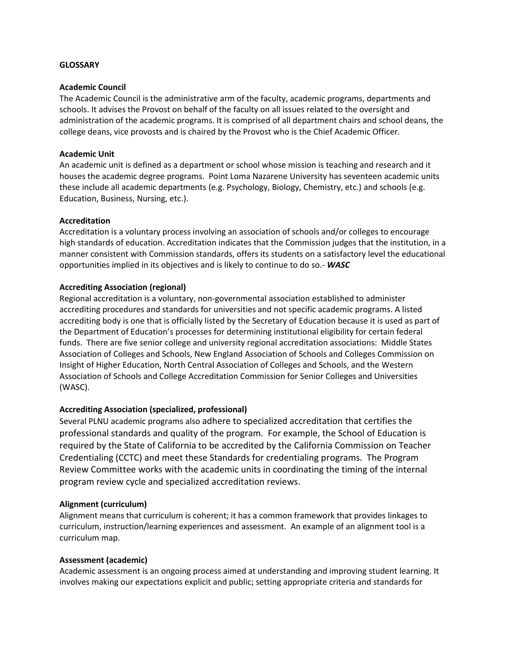#### **GLOSSARY**

#### **Academic Council**

The Academic Council is the administrative arm of the faculty, academic programs, departments and schools. It advises the Provost on behalf of the faculty on all issues related to the oversight and administration of the academic programs. It is comprised of all department chairs and school deans, the college deans, vice provosts and is chaired by the Provost who is the Chief Academic Officer.

#### **Academic Unit**

An academic unit is defined as a department or school whose mission is teaching and research and it houses the academic degree programs. Point Loma Nazarene University has seventeen academic units these include all academic departments (e.g. Psychology, Biology, Chemistry, etc.) and schools (e.g. Education, Business, Nursing, etc.).

#### **Accreditation**

Accreditation is a voluntary process involving an association of schools and/or colleges to encourage high standards of education. Accreditation indicates that the Commission judges that the institution, in a manner consistent with Commission standards, offers its students on a satisfactory level the educational opportunities implied in its objectives and is likely to continue to do so.‐ *WASC*

## **Accrediting Association (regional)**

Regional accreditation is a voluntary, non‐governmental association established to administer accrediting procedures and standards for universities and not specific academic programs. A listed accrediting body is one that is officially listed by the Secretary of Education because it is used as part of the Department of Education's processes for determining institutional eligibility for certain federal funds. There are five senior college and university regional accreditation associations: Middle States Association of Colleges and Schools, New England Association of Schools and Colleges Commission on Insight of Higher Education, North Central Association of Colleges and Schools, and the Western Association of Schools and College Accreditation Commission for Senior Colleges and Universities (WASC).

## **Accrediting Association (specialized, professional)**

Several PLNU academic programs also adhere to specialized accreditation that certifies the professional standards and quality of the program. For example, the School of Education is required by the State of California to be accredited by the California Commission on Teacher Credentialing (CCTC) and meet these Standards for credentialing programs. The Program Review Committee works with the academic units in coordinating the timing of the internal program review cycle and specialized accreditation reviews.

## **Alignment (curriculum)**

Alignment means that curriculum is coherent; it has a common framework that provides linkages to curriculum, instruction/learning experiences and assessment. An example of an alignment tool is a curriculum map.

## **Assessment (academic)**

Academic assessment is an ongoing process aimed at understanding and improving student learning. It involves making our expectations explicit and public; setting appropriate criteria and standards for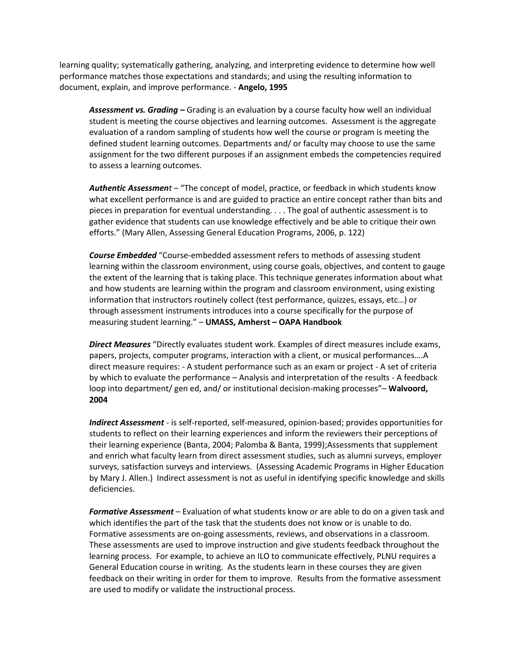learning quality; systematically gathering, analyzing, and interpreting evidence to determine how well performance matches those expectations and standards; and using the resulting information to document, explain, and improve performance. ‐ **Angelo, 1995**

*Assessment vs. Grading –* Grading is an evaluation by a course faculty how well an individual student is meeting the course objectives and learning outcomes. Assessment is the aggregate evaluation of a random sampling of students how well the course or program is meeting the defined student learning outcomes. Departments and/ or faculty may choose to use the same assignment for the two different purposes if an assignment embeds the competencies required to assess a learning outcomes.

*Authentic Assessment* – "The concept of model, practice, or feedback in which students know what excellent performance is and are guided to practice an entire concept rather than bits and pieces in preparation for eventual understanding. . . . The goal of authentic assessment is to gather evidence that students can use knowledge effectively and be able to critique their own efforts." (Mary Allen, Assessing General Education Programs, 2006, p. 122)

*Course Embedded* "Course‐embedded assessment refers to methods of assessing student learning within the classroom environment, using course goals, objectives, and content to gauge the extent of the learning that is taking place. This technique generates information about what and how students are learning within the program and classroom environment, using existing information that instructors routinely collect (test performance, quizzes, essays, etc…) or through assessment instruments introduces into a course specifically for the purpose of measuring student learning." – **UMASS, Amherst – OAPA Handbook**

*Direct Measures* "Directly evaluates student work. Examples of direct measures include exams, papers, projects, computer programs, interaction with a client, or musical performances….A direct measure requires: - A student performance such as an exam or project - A set of criteria by which to evaluate the performance – Analysis and interpretation of the results - A feedback loop into department/ gen ed, and/ or institutional decision‐making processes"– **Walvoord, 2004**

*Indirect Assessment* - is self-reported, self-measured, opinion-based; provides opportunities for students to reflect on their learning experiences and inform the reviewers their perceptions of their learning experience (Banta, 2004; Palomba & Banta, 1999);Assessments that supplement and enrich what faculty learn from direct assessment studies, such as alumni surveys, employer surveys, satisfaction surveys and interviews. (Assessing Academic Programs in Higher Education by Mary J. Allen.) Indirect assessment is not as useful in identifying specific knowledge and skills deficiencies.

*Formative Assessment* – Evaluation of what students know or are able to do on a given task and which identifies the part of the task that the students does not know or is unable to do. Formative assessments are on-going assessments, reviews, and observations in a classroom. These assessments are used to improve instruction and give students feedback throughout the learning process. For example, to achieve an ILO to communicate effectively, PLNU requires a General Education course in writing. As the students learn in these courses they are given feedback on their writing in order for them to improve. Results from the formative assessment are used to modify or validate the instructional process.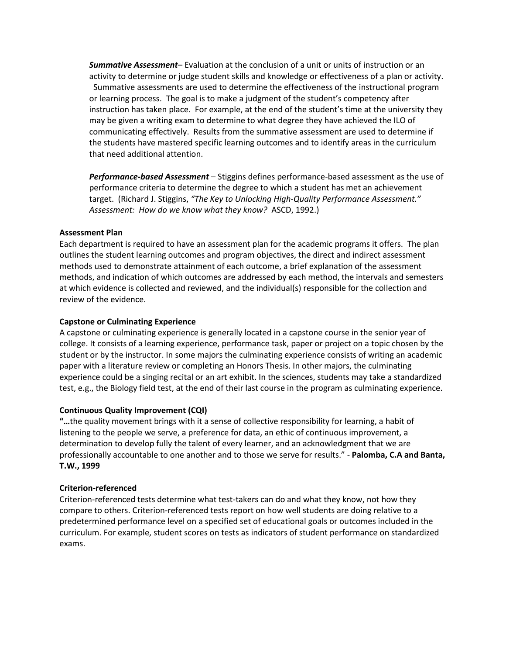*Summative Assessment*– Evaluation at the conclusion of a unit or units of instruction or an activity to determine or judge student skills and knowledge or effectiveness of a plan or activity. Summative assessments are used to determine the effectiveness of the instructional program or learning process. The goal is to make a judgment of the student's competency after instruction has taken place. For example, at the end of the student's time at the university they may be given a writing exam to determine to what degree they have achieved the ILO of communicating effectively. Results from the summative assessment are used to determine if the students have mastered specific learning outcomes and to identify areas in the curriculum that need additional attention.

*Performance-based Assessment* – Stiggins defines performance-based assessment as the use of performance criteria to determine the degree to which a student has met an achievement target. (Richard J. Stiggins, *"The Key to Unlocking High-Quality Performance Assessment." Assessment: How do we know what they know?* ASCD, 1992.)

#### **Assessment Plan**

Each department is required to have an assessment plan for the academic programs it offers. The plan outlines the student learning outcomes and program objectives, the direct and indirect assessment methods used to demonstrate attainment of each outcome, a brief explanation of the assessment methods, and indication of which outcomes are addressed by each method, the intervals and semesters at which evidence is collected and reviewed, and the individual(s) responsible for the collection and review of the evidence.

#### **Capstone or Culminating Experience**

A capstone or culminating experience is generally located in a capstone course in the senior year of college. It consists of a learning experience, performance task, paper or project on a topic chosen by the student or by the instructor. In some majors the culminating experience consists of writing an academic paper with a literature review or completing an Honors Thesis. In other majors, the culminating experience could be a singing recital or an art exhibit. In the sciences, students may take a standardized test, e.g., the Biology field test, at the end of their last course in the program as culminating experience.

#### **Continuous Quality Improvement (CQI)**

**"…**the quality movement brings with it a sense of collective responsibility for learning, a habit of listening to the people we serve, a preference for data, an ethic of continuous improvement, a determination to develop fully the talent of every learner, and an acknowledgment that we are professionally accountable to one another and to those we serve for results." ‐ **Palomba, C.A and Banta, T.W., 1999**

#### **Criterion-referenced**

Criterion-referenced tests determine what test-takers can do and what they know, not how they compare to others. Criterion-referenced tests report on how well students are doing relative to a predetermined performance level on a specified set of educational goals or outcomes included in the curriculum. For example, student scores on tests as indicators of student performance on standardized exams.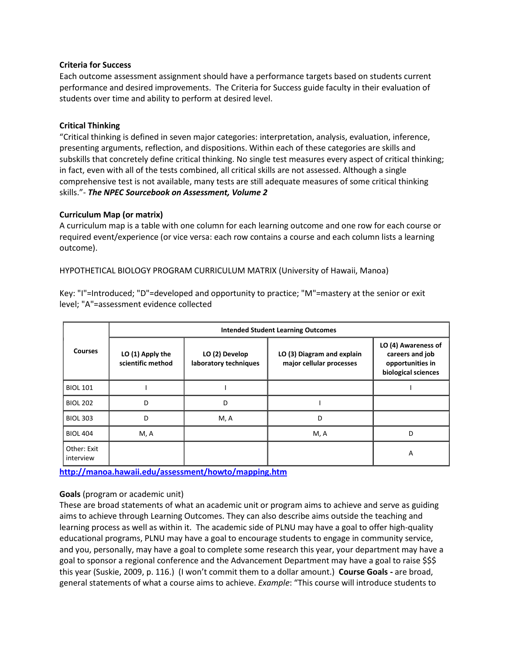#### **Criteria for Success**

Each outcome assessment assignment should have a performance targets based on students current performance and desired improvements. The Criteria for Success guide faculty in their evaluation of students over time and ability to perform at desired level.

#### **Critical Thinking**

"Critical thinking is defined in seven major categories: interpretation, analysis, evaluation, inference, presenting arguments, reflection, and dispositions. Within each of these categories are skills and subskills that concretely define critical thinking. No single test measures every aspect of critical thinking; in fact, even with all of the tests combined, all critical skills are not assessed. Although a single comprehensive test is not available, many tests are still adequate measures of some critical thinking skills."- *The NPEC Sourcebook on Assessment, Volume 2*

#### **Curriculum Map (or matrix)**

A curriculum map is a table with one column for each learning outcome and one row for each course or required event/experience (or vice versa: each row contains a course and each column lists a learning outcome).

HYPOTHETICAL BIOLOGY PROGRAM CURRICULUM MATRIX (University of Hawaii, Manoa)

Key: "I"=Introduced; "D"=developed and opportunity to practice; "M"=mastery at the senior or exit level; "A"=assessment evidence collected

| <b>Courses</b>           | <b>Intended Student Learning Outcomes</b> |                                         |                                                        |                                                                                   |
|--------------------------|-------------------------------------------|-----------------------------------------|--------------------------------------------------------|-----------------------------------------------------------------------------------|
|                          | LO (1) Apply the<br>scientific method     | LO (2) Develop<br>laboratory techniques | LO (3) Diagram and explain<br>major cellular processes | LO (4) Awareness of<br>careers and job<br>opportunities in<br>biological sciences |
| <b>BIOL 101</b>          |                                           |                                         |                                                        |                                                                                   |
| <b>BIOL 202</b>          | D                                         | D                                       |                                                        |                                                                                   |
| <b>BIOL 303</b>          | D                                         | M, A                                    | D                                                      |                                                                                   |
| <b>BIOL 404</b>          | M, A                                      |                                         | M, A                                                   | D                                                                                 |
| Other: Exit<br>interview |                                           |                                         |                                                        | A                                                                                 |

**<http://manoa.hawaii.edu/assessment/howto/mapping.htm>**

## **Goals** (program or academic unit)

These are broad statements of what an academic unit or program aims to achieve and serve as guiding aims to achieve through Learning Outcomes. They can also describe aims outside the teaching and learning process as well as within it. The academic side of PLNU may have a goal to offer high-quality educational programs, PLNU may have a goal to encourage students to engage in community service, and you, personally, may have a goal to complete some research this year, your department may have a goal to sponsor a regional conference and the Advancement Department may have a goal to raise \$\$\$ this year (Suskie, 2009, p. 116.) (I won't commit them to a dollar amount.) **Course Goals -** are broad, general statements of what a course aims to achieve. *Example*: "This course will introduce students to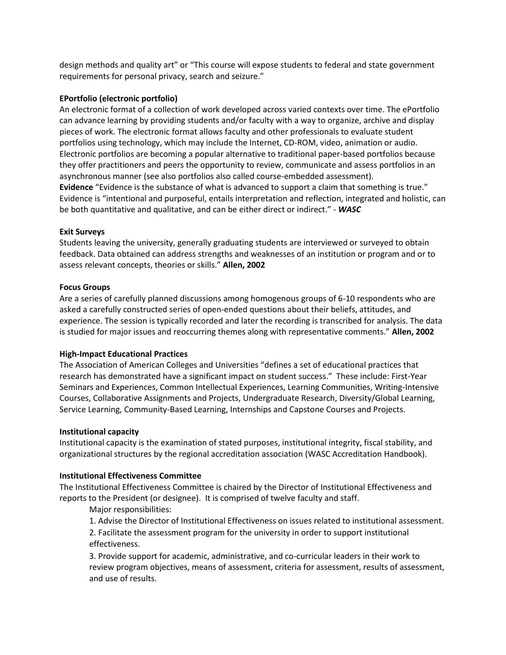design methods and quality art" or "This course will expose students to federal and state government requirements for personal privacy, search and seizure."

## **EPortfolio (electronic portfolio)**

An electronic format of a collection of work developed across varied contexts over time. The ePortfolio can advance learning by providing students and/or faculty with a way to organize, archive and display pieces of work. The electronic format allows faculty and other professionals to evaluate student portfolios using technology, which may include the Internet, CD-ROM, video, animation or audio. Electronic portfolios are becoming a popular alternative to traditional paper-based portfolios because they offer practitioners and peers the opportunity to review, communicate and assess portfolios in an asynchronous manner (see also portfolios also called course-embedded assessment). **Evidence** "Evidence is the substance of what is advanced to support a claim that something is true." Evidence is "intentional and purposeful, entails interpretation and reflection, integrated and holistic, can be both quantitative and qualitative, and can be either direct or indirect." ‐ *WASC*

#### **Exit Surveys**

Students leaving the university, generally graduating students are interviewed or surveyed to obtain feedback. Data obtained can address strengths and weaknesses of an institution or program and or to assess relevant concepts, theories or skills." **Allen, 2002**

#### **Focus Groups**

Are a series of carefully planned discussions among homogenous groups of 6‐10 respondents who are asked a carefully constructed series of open‐ended questions about their beliefs, attitudes, and experience. The session is typically recorded and later the recording is transcribed for analysis. The data is studied for major issues and reoccurring themes along with representative comments." **Allen, 2002**

## **High-Impact Educational Practices**

The Association of American Colleges and Universities "defines a set of educational practices that research has demonstrated have a significant impact on student success." These include: First-Year Seminars and Experiences, Common Intellectual Experiences, Learning Communities, Writing-Intensive Courses, Collaborative Assignments and Projects, Undergraduate Research, Diversity/Global Learning, Service Learning, Community-Based Learning, Internships and Capstone Courses and Projects.

#### **Institutional capacity**

Institutional capacity is the examination of stated purposes, institutional integrity, fiscal stability, and organizational structures by the regional accreditation association (WASC Accreditation Handbook).

## **Institutional Effectiveness Committee**

The Institutional Effectiveness Committee is chaired by the Director of Institutional Effectiveness and reports to the President (or designee). It is comprised of twelve faculty and staff.

Major responsibilities:

1. Advise the Director of Institutional Effectiveness on issues related to institutional assessment.

2. Facilitate the assessment program for the university in order to support institutional effectiveness.

3. Provide support for academic, administrative, and co-curricular leaders in their work to review program objectives, means of assessment, criteria for assessment, results of assessment, and use of results.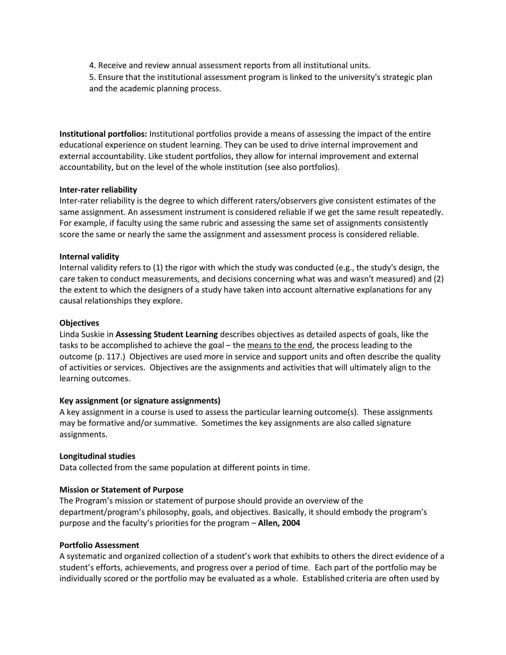4. Receive and review annual assessment reports from all institutional units.

5. Ensure that the institutional assessment program is linked to the university's strategic plan and the academic planning process.

**Institutional portfolios:** Institutional portfolios provide a means of assessing the impact of the entire educational experience on student learning. They can be used to drive internal improvement and external accountability. Like student portfolios, they allow for internal improvement and external accountability, but on the level of the whole institution (see also portfolios).

#### **Inter-rater reliability**

Inter-rater reliability is the degree to which different raters/observers give consistent estimates of the same assignment. An assessment instrument is considered reliable if we get the same result repeatedly. For example, if faculty using the same rubric and assessing the same set of assignments consistently score the same or nearly the same the assignment and assessment process is considered reliable.

## **Internal validity**

Internal validity refers to (1) the rigor with which the study was conducted (e.g., the study's design, the care taken to conduct measurements, and decisions concerning what was and wasn't measured) and (2) the extent to which the designers of a study have taken into account alternative explanations for any causal relationships they explore.

### **Objectives**

Linda Suskie in **Assessing Student Learning** describes objectives as detailed aspects of goals, like the tasks to be accomplished to achieve the goal – the means to the end, the process leading to the outcome (p. 117.) Objectives are used more in service and support units and often describe the quality of activities or services. Objectives are the assignments and activities that will ultimately align to the learning outcomes.

## **Key assignment (or signature assignments)**

A key assignment in a course is used to assess the particular learning outcome(s). These assignments may be formative and/or summative. Sometimes the key assignments are also called signature assignments.

#### **Longitudinal studies**

Data collected from the same population at different points in time.

## **Mission or Statement of Purpose**

The Program's mission or statement of purpose should provide an overview of the department/program's philosophy, goals, and objectives. Basically, it should embody the program's purpose and the faculty's priorities for the program – **Allen, 2004**

## **Portfolio Assessment**

A systematic and organized collection of a student's work that exhibits to others the direct evidence of a student's efforts, achievements, and progress over a period of time. Each part of the portfolio may be individually scored or the portfolio may be evaluated as a whole. Established criteria are often used by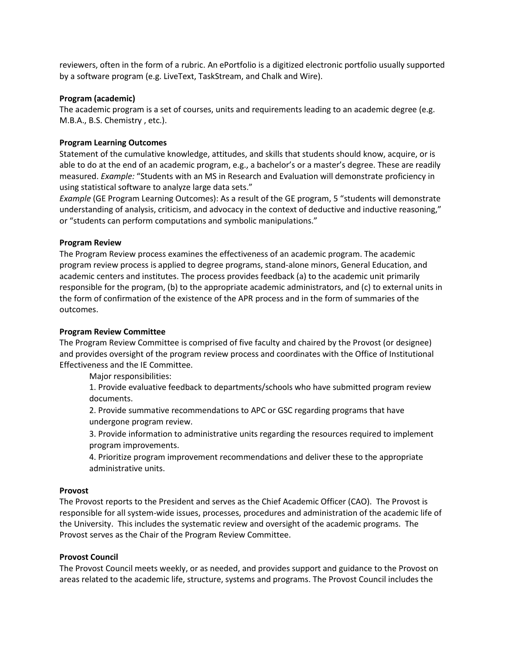reviewers, often in the form of a rubric. An ePortfolio is a digitized electronic portfolio usually supported by a software program (e.g. LiveText, TaskStream, and Chalk and Wire).

#### **Program (academic)**

The academic program is a set of courses, units and requirements leading to an academic degree (e.g. M.B.A., B.S. Chemistry , etc.).

### **Program Learning Outcomes**

Statement of the cumulative knowledge, attitudes, and skills that students should know, acquire, or is able to do at the end of an academic program, e.g., a bachelor's or a master's degree. These are readily measured. *Example:* "Students with an MS in Research and Evaluation will demonstrate proficiency in using statistical software to analyze large data sets."

*Example* (GE Program Learning Outcomes): As a result of the GE program, 5 "students will demonstrate understanding of analysis, criticism, and advocacy in the context of deductive and inductive reasoning," or "students can perform computations and symbolic manipulations."

#### **Program Review**

The Program Review process examines the effectiveness of an academic program. The academic program review process is applied to degree programs, stand‐alone minors, General Education, and academic centers and institutes. The process provides feedback (a) to the academic unit primarily responsible for the program, (b) to the appropriate academic administrators, and (c) to external units in the form of confirmation of the existence of the APR process and in the form of summaries of the outcomes.

#### **Program Review Committee**

The Program Review Committee is comprised of five faculty and chaired by the Provost (or designee) and provides oversight of the program review process and coordinates with the Office of Institutional Effectiveness and the IE Committee.

Major responsibilities:

1. Provide evaluative feedback to departments/schools who have submitted program review documents.

2. Provide summative recommendations to APC or GSC regarding programs that have undergone program review.

3. Provide information to administrative units regarding the resources required to implement program improvements.

4. Prioritize program improvement recommendations and deliver these to the appropriate administrative units.

#### **Provost**

The Provost reports to the President and serves as the Chief Academic Officer (CAO). The Provost is responsible for all system-wide issues, processes, procedures and administration of the academic life of the University. This includes the systematic review and oversight of the academic programs. The Provost serves as the Chair of the Program Review Committee.

## **Provost Council**

The Provost Council meets weekly, or as needed, and provides support and guidance to the Provost on areas related to the academic life, structure, systems and programs. The Provost Council includes the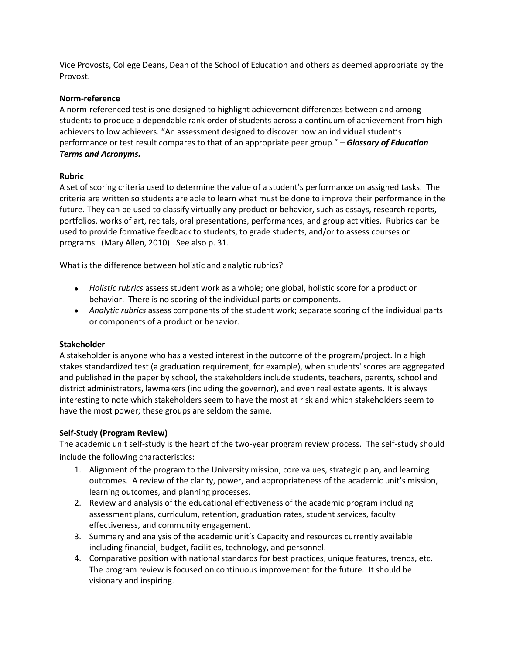Vice Provosts, College Deans, Dean of the School of Education and others as deemed appropriate by the Provost.

### **Norm-reference**

A norm-referenced test is one designed to highlight achievement differences between and among students to produce a dependable rank order of students across a continuum of achievement from high achievers to low achievers. "An assessment designed to discover how an individual student's performance or test result compares to that of an appropriate peer group." – *Glossary of Education Terms and Acronyms.*

## **Rubric**

A set of scoring criteria used to determine the value of a student's performance on assigned tasks. The criteria are written so students are able to learn what must be done to improve their performance in the future. They can be used to classify virtually any product or behavior, such as essays, research reports, portfolios, works of art, recitals, oral presentations, performances, and group activities. Rubrics can be used to provide formative feedback to students, to grade students, and/or to assess courses or programs. (Mary Allen, 2010). See also p. 31.

What is the difference between holistic and analytic rubrics?

- *Holistic rubrics* assess student work as a whole; one global, holistic score for a product or behavior. There is no scoring of the individual parts or components.
- *Analytic rubrics* assess components of the student work; separate scoring of the individual parts or components of a product or behavior.

## **Stakeholder**

A stakeholder is anyone who has a vested interest in the outcome of the program/project. In a high stakes standardized test (a graduation requirement, for example), when students' scores are aggregated and published in the paper by school, the stakeholders include students, teachers, parents, school and district administrators, lawmakers (including the governor), and even real estate agents. It is always interesting to note which stakeholders seem to have the most at risk and which stakeholders seem to have the most power; these groups are seldom the same.

## **Self-Study (Program Review)**

The academic unit self-study is the heart of the two-year program review process. The self-study should include the following characteristics:

- 1. Alignment of the program to the University mission, core values, strategic plan, and learning outcomes. A review of the clarity, power, and appropriateness of the academic unit's mission, learning outcomes, and planning processes.
- 2. Review and analysis of the educational effectiveness of the academic program including assessment plans, curriculum, retention, graduation rates, student services, faculty effectiveness, and community engagement.
- 3. Summary and analysis of the academic unit's Capacity and resources currently available including financial, budget, facilities, technology, and personnel.
- 4. Comparative position with national standards for best practices, unique features, trends, etc. The program review is focused on continuous improvement for the future. It should be visionary and inspiring.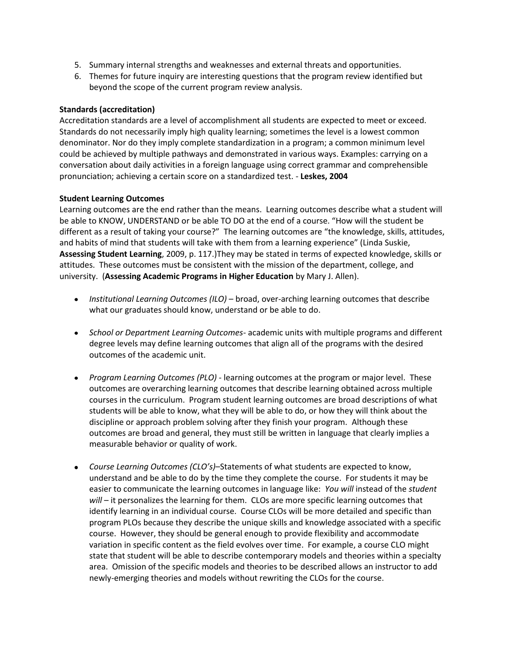- 5. Summary internal strengths and weaknesses and external threats and opportunities.
- 6. Themes for future inquiry are interesting questions that the program review identified but beyond the scope of the current program review analysis.

# **Standards (accreditation)**

Accreditation standards are a level of accomplishment all students are expected to meet or exceed. Standards do not necessarily imply high quality learning; sometimes the level is a lowest common denominator. Nor do they imply complete standardization in a program; a common minimum level could be achieved by multiple pathways and demonstrated in various ways. Examples: carrying on a conversation about daily activities in a foreign language using correct grammar and comprehensible pronunciation; achieving a certain score on a standardized test. ‐ **Leskes, 2004**

# **Student Learning Outcomes**

Learning outcomes are the end rather than the means. Learning outcomes describe what a student will be able to KNOW, UNDERSTAND or be able TO DO at the end of a course. "How will the student be different as a result of taking your course?" The learning outcomes are "the knowledge, skills, attitudes, and habits of mind that students will take with them from a learning experience" (Linda Suskie, **Assessing Student Learning**, 2009, p. 117.)They may be stated in terms of expected knowledge, skills or attitudes. These outcomes must be consistent with the mission of the department, college, and university. (**Assessing Academic Programs in Higher Education** by Mary J. Allen).

- *Institutional Learning Outcomes (ILO)*  broad, over-arching learning outcomes that describe what our graduates should know, understand or be able to do.
- *School or Department Learning Outcomes* academic units with multiple programs and different degree levels may define learning outcomes that align all of the programs with the desired outcomes of the academic unit.
- *Program Learning Outcomes (PLO)* learning outcomes at the program or major level. These outcomes are overarching learning outcomes that describe learning obtained across multiple courses in the curriculum. Program student learning outcomes are broad descriptions of what students will be able to know, what they will be able to do, or how they will think about the discipline or approach problem solving after they finish your program. Although these outcomes are broad and general, they must still be written in language that clearly implies a measurable behavior or quality of work.
- *Course Learning Outcomes (CLO's)*–Statements of what students are expected to know, understand and be able to do by the time they complete the course. For students it may be easier to communicate the learning outcomes in language like: *You will* instead of the *student will* – it personalizes the learning for them. CLOs are more specific learning outcomes that identify learning in an individual course. Course CLOs will be more detailed and specific than program PLOs because they describe the unique skills and knowledge associated with a specific course. However, they should be general enough to provide flexibility and accommodate variation in specific content as the field evolves over time. For example, a course CLO might state that student will be able to describe contemporary models and theories within a specialty area. Omission of the specific models and theories to be described allows an instructor to add newly-emerging theories and models without rewriting the CLOs for the course.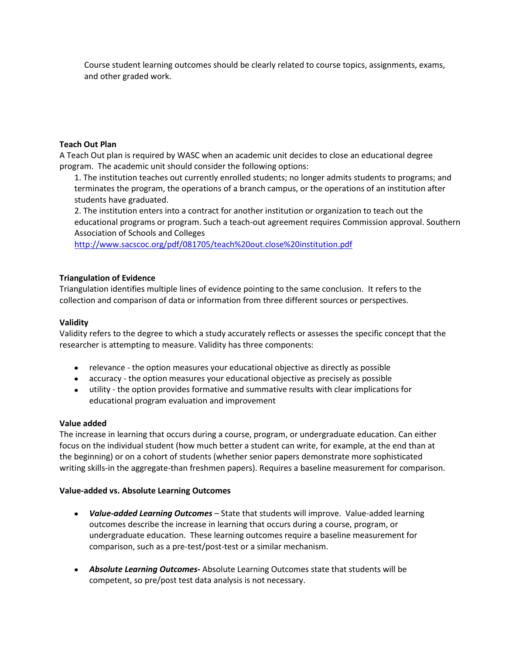Course student learning outcomes should be clearly related to course topics, assignments, exams, and other graded work.

# **Teach Out Plan**

A Teach Out plan is required by WASC when an academic unit decides to close an educational degree program. The academic unit should consider the following options:

1. The institution teaches out currently enrolled students; no longer admits students to programs; and terminates the program, the operations of a branch campus, or the operations of an institution after students have graduated.

2. The institution enters into a contract for another institution or organization to teach out the educational programs or program. Such a teach-out agreement requires Commission approval. Southern Association of Schools and Colleges

<http://www.sacscoc.org/pdf/081705/teach%20out.close%20institution.pdf>

# **Triangulation of Evidence**

Triangulation identifies multiple lines of evidence pointing to the same conclusion. It refers to the collection and comparison of data or information from three different sources or perspectives.

# **Validity**

Validity refers to the degree to which a study accurately reflects or assesses the specific concept that the researcher is attempting to measure. Validity has three components:

- relevance the option measures your educational objective as directly as possible
- accuracy the option measures your educational objective as precisely as possible
- utility the option provides formative and summative results with clear implications for educational program evaluation and improvement

## **Value added**

The increase in learning that occurs during a course, program, or undergraduate education. Can either focus on the individual student (how much better a student can write, for example, at the end than at the beginning) or on a cohort of students (whether senior papers demonstrate more sophisticated writing skills-in the aggregate-than freshmen papers). Requires a baseline measurement for comparison.

## **Value-added vs. Absolute Learning Outcomes**

- *Value-added Learning Outcomes –* State that students will improve. Value-added learning outcomes describe the increase in learning that occurs during a course, program, or undergraduate education. These learning outcomes require a baseline measurement for comparison, such as a pre-test/post-test or a similar mechanism.
- *Absolute Learning Outcomes-* Absolute Learning Outcomes state that students will be competent, so pre/post test data analysis is not necessary.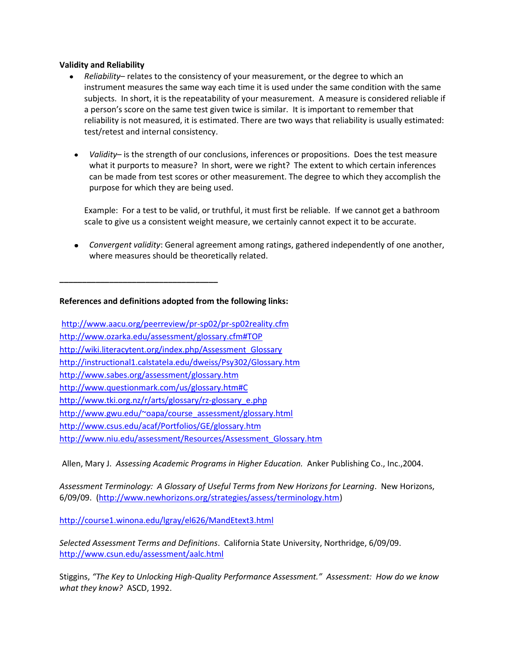### **Validity and Reliability**

- *Reliability* relates to the consistency of your measurement, or the degree to which an instrument measures the same way each time it is used under the same condition with the same subjects. In short, it is the repeatability of your measurement. A measure is considered reliable if a person's score on the same test given twice is similar. It is important to remember that reliability is not measured, it is estimated. There are two ways that reliability is usually estimated: test/retest and internal consistency.
	- *Validity* is the strength of our conclusions, inferences or propositions. Does the test measure what it purports to measure? In short, were we right? The extent to which certain inferences can be made from test scores or other measurement. The degree to which they accomplish the purpose for which they are being used.

Example: For a test to be valid, or truthful, it must first be reliable. If we cannot get a bathroom scale to give us a consistent weight measure, we certainly cannot expect it to be accurate.

*Convergent validity*: General agreement among ratings, gathered independently of one another, where measures should be theoretically related.

**References and definitions adopted from the following links:** 

**\_\_\_\_\_\_\_\_\_\_\_\_\_\_\_\_\_\_\_\_\_\_\_\_\_\_\_\_\_\_\_\_\_\_\_**

<http://www.aacu.org/peerreview/pr-sp02/pr-sp02reality.cfm> [http://www.ozarka.edu/assessment/glossary.cfm#TOP](http://www.aacu.org/peerreview/pr-sp02/pr-sp02reality.cfm)  [http://wiki.literacytent.org/index.php/Assessment\\_Glossary](http://wiki.literacytent.org/index.php/Assessment_Glossary)  [http://instructional1.calstatela.edu/dweiss/Psy302/Glossary.htm](http://wiki.literacytent.org/index.php/Assessment_Glossary)  <http://www.sabes.org/assessment/glossary.htm> <http://www.questionmark.com/us/glossary.htm#C> [http://www.tki.org.nz/r/arts/glossary/rz-glossary\\_e.php](http://www.tki.org.nz/r/arts/glossary/rz-glossary_e.php)  [http://www.gwu.edu/~oapa/course\\_assessment/glossary.html](http://www.tki.org.nz/r/arts/glossary/rz-glossary_e.php)  <http://www.csus.edu/acaf/Portfolios/GE/glossary.htm> [http://www.niu.edu/assessment/Resources/Assessment\\_Glossary.htm](http://www.niu.edu/assessment/Resources/Assessment_Glossary.htm)

Allen, Mary J. *Assessing Academic Programs in Higher Education.* Anker Publishing Co., Inc.,2004.

*Assessment Terminology: A Glossary of Useful Terms from New Horizons for Learning*. New Horizons, 6/09/09. [\(http://www.newhorizons.org/strategies/assess/terminology.htm\)](http://www.newhorizons.org/strategies/assess/terminology.htm)

<http://course1.winona.edu/lgray/el626/MandEtext3.html>

*Selected Assessment Terms and Definitions*. California State University, Northridge, 6/09/09. <http://www.csun.edu/assessment/aalc.html>

Stiggins, *"The Key to Unlocking High-Quality Performance Assessment." Assessment: How do we know what they know?* ASCD, 1992.